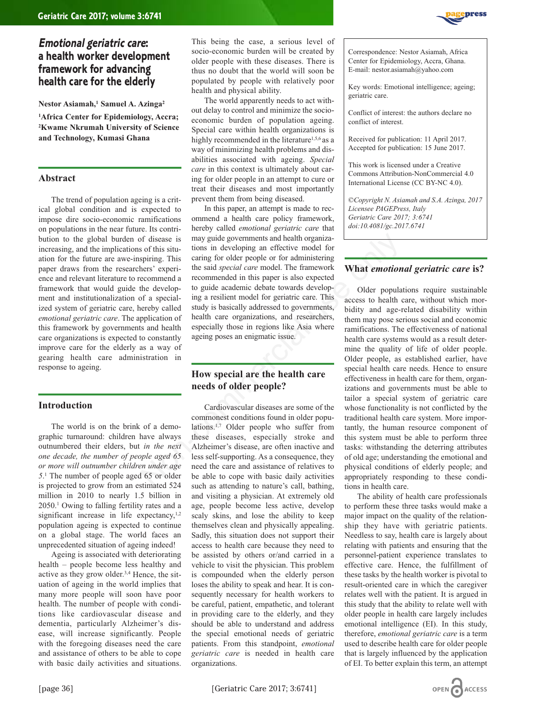# **Emotional geriatric care: a health worker development framework for advancing health care for the elderly**

**Nestor Asiamah,1 Samuel A. Azinga2**

**1 Africa Center for Epidemiology, Accra; 2 Kwame Nkrumah University of Science and Technology, Kumasi Ghana**

#### **Abstract**

The trend of population ageing is a critical global condition and is expected to impose dire socio-economic ramifications on populations in the near future. Its contribution to the global burden of disease is increasing, and the implications of this situation for the future are awe-inspiring. This paper draws from the researchers' experience and relevant literature to recommend a framework that would guide the development and institutionalization of a specialized system of geriatric care, hereby called *emotional geriatric care*. The application of this framework by governments and health care organizations is expected to constantly improve care for the elderly as a way of gearing health care administration in response to ageing.

## **Introduction**

The world is on the brink of a demographic turnaround: children have always outnumbered their elders, but *in the next one decade, the number of people aged 65 or more will outnumber children under age 5*. <sup>1</sup> The number of people aged 65 or older is projected to grow from an estimated 524 million in 2010 to nearly 1.5 billion in 2050.1 Owing to falling fertility rates and a significant increase in life expectancy, $1,2$ population ageing is expected to continue on a global stage. The world faces an unprecedented situation of ageing indeed!

Ageing is associated with deteriorating health – people become less healthy and active as they grow older.3,4 Hence, the situation of ageing in the world implies that many more people will soon have poor health. The number of people with conditions like cardiovascular disease and dementia, particularly Alzheimer's disease, will increase significantly. People with the foregoing diseases need the care and assistance of others to be able to cope with basic daily activities and situations. This being the case, a serious level of socio-economic burden will be created by older people with these diseases. There is thus no doubt that the world will soon be populated by people with relatively poor health and physical ability.

The world apparently needs to act without delay to control and minimize the socioeconomic burden of population ageing. Special care within health organizations is highly recommended in the literature<sup>1,5,6</sup> as a way of minimizing health problems and disabilities associated with ageing. *Special care* in this context is ultimately about caring for older people in an attempt to cure or treat their diseases and most importantly prevent them from being diseased.

In this paper, an attempt is made to recommend a health care policy framework, hereby called *emotional geriatric care* that may guide governments and health organizations in developing an effective model for caring for older people or for administering the said *special care* model. The framework recommended in this paper is also expected to guide academic debate towards developing a resilient model for geriatric care. This study is basically addressed to governments, health care organizations, and researchers, especially those in regions like Asia where ageing poses an enigmatic issue. of disease is may guide governments and health organiza-<br>
so f this situe tions in developing an effective model for significal units in earling for older people or for administring<br>
hers' experi-<br>
the said *special care* 

## **How special are the health care needs of older people?**

Cardiovascular diseases are some of the commonest conditions found in older populations.1,7 Older people who suffer from these diseases, especially stroke and Alzheimer's disease, are often inactive and less self-supporting. As a consequence, they need the care and assistance of relatives to be able to cope with basic daily activities such as attending to nature's call, bathing, and visiting a physician. At extremely old age, people become less active, develop scaly skins, and lose the ability to keep themselves clean and physically appealing. Sadly, this situation does not support their access to health care because they need to be assisted by others or/and carried in a vehicle to visit the physician. This problem is compounded when the elderly person loses the ability to speak and hear. It is consequently necessary for health workers to be careful, patient, empathetic, and tolerant in providing care to the elderly, and they should be able to understand and address the special emotional needs of geriatric patients. From this standpoint, *emotional geriatric care* is needed in health care organizations.

epress

Correspondence: Nestor Asiamah, Africa Center for Epidemiology, Accra, Ghana. E-mail: nestor.asiamah@yahoo.com

Key words: Emotional intelligence; ageing; geriatric care.

Conflict of interest: the authors declare no conflict of interest.

Received for publication: 11 April 2017. Accepted for publication: 15 June 2017.

This work is licensed under a Creative Commons Attribution-NonCommercial 4.0 International License (CC BY-NC 4.0).

©*Copyright N. Asiamah and S.A. Azinga, 2017 Licensee PAGEPress, Italy Geriatric Care 2017; 3:6741 doi:10.4081/gc.2017.6741*

## **What** *emotional geriatric care* **is?**

Older populations require sustainable access to health care, without which morbidity and age-related disability within them may pose serious social and economic ramifications. The effectiveness of national health care systems would as a result determine the quality of life of older people. Older people, as established earlier, have special health care needs. Hence to ensure effectiveness in health care for them, organizations and governments must be able to tailor a special system of geriatric care whose functionality is not conflicted by the traditional health care system. More importantly, the human resource component of this system must be able to perform three tasks: withstanding the deterring attributes of old age; understanding the emotional and physical conditions of elderly people; and appropriately responding to these conditions in health care.

The ability of health care professionals to perform these three tasks would make a major impact on the quality of the relationship they have with geriatric patients. Needless to say, health care is largely about relating with patients and ensuring that the personnel-patient experience translates to effective care. Hence, the fulfillment of these tasks by the health worker is pivotal to result-oriented care in which the caregiver relates well with the patient. It is argued in this study that the ability to relate well with older people in health care largely includes emotional intelligence (EI). In this study, therefore, *emotional geriatric care* is a term used to describe health care for older people that is largely influenced by the application of EI. To better explain this term, an attempt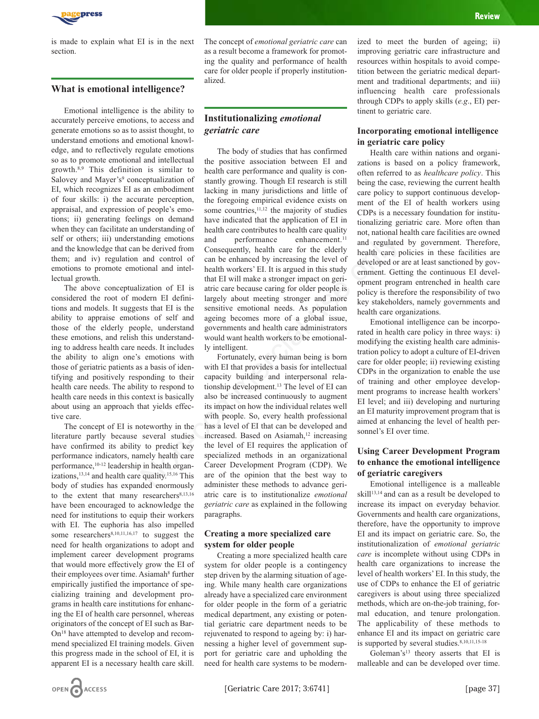

is made to explain what EI is in the next section.

#### **What is emotional intelligence?**

Emotional intelligence is the ability to accurately perceive emotions, to access and generate emotions so as to assist thought, to understand emotions and emotional knowledge, and to reflectively regulate emotions so as to promote emotional and intellectual growth.8,9 This definition is similar to Salovey and Mayer's<sup>9</sup> conceptualization of EI, which recognizes EI as an embodiment of four skills: i) the accurate perception, appraisal, and expression of people's emotions; ii) generating feelings on demand when they can facilitate an understanding of self or others; iii) understanding emotions and the knowledge that can be derived from them; and iv) regulation and control of emotions to promote emotional and intellectual growth.

The above conceptualization of EI is considered the root of modern EI definitions and models. It suggests that EI is the ability to appraise emotions of self and those of the elderly people, understand these emotions, and relish this understanding to address health care needs. It includes the ability to align one's emotions with those of geriatric patients as a basis of identifying and positively responding to their health care needs. The ability to respond to health care needs in this context is basically about using an approach that yields effective care.

The concept of EI is noteworthy in the literature partly because several studies have confirmed its ability to predict key performance indicators, namely health care performance,10-12 leadership in health organizations, $13,14$  and health care quality. $15,16$  This body of studies has expanded enormously to the extent that many researchers $8,13,16$ have been encouraged to acknowledge the need for institutions to equip their workers with EI. The euphoria has also impelled some researchers<sup>8,10,11,16,17</sup> to suggest the need for health organizations to adopt and implement career development programs that would more effectively grow the EI of their employees over time. Asiamah<sup>8</sup> further empirically justified the importance of specializing training and development programs in health care institutions for enhancing the EI of health care personnel, whereas originators of the concept of EI such as Bar-On18 have attempted to develop and recommend specialized EI training models. Given this progress made in the school of EI, it is apparent EI is a necessary health care skill.

The concept of *emotional geriatric care* can as a result become a framework for promoting the quality and performance of health care for older people if properly institutionalized.

## **Institutionalizing** *emotional geriatric care*

The body of studies that has confirmed the positive association between EI and health care performance and quality is constantly growing. Though EI research is still lacking in many jurisdictions and little of the foregoing empirical evidence exists on some countries,  $11,12$  the majority of studies have indicated that the application of EI in health care contributes to health care quality and performance enhancement.<sup>11</sup> Consequently, health care for the elderly can be enhanced by increasing the level of health workers' EI. It is argued in this study that EI will make a stronger impact on geriatric care because caring for older people is largely about meeting stronger and more sensitive emotional needs. As population ageing becomes more of a global issue, governments and health care administrators would want health workers to be emotionally intelligent.

Fortunately, every human being is born with EI that provides a basis for intellectual capacity building and interpersonal relationship development.13 The level of EI can also be increased continuously to augment its impact on how the individual relates well with people. So, every health professional has a level of EI that can be developed and increased. Based on Asiamah, $12$  increasing the level of EI requires the application of specialized methods in an organizational Career Development Program (CDP). We are of the opinion that the best way to administer these methods to advance geriatric care is to institutionalize *emotional geriatric care* as explained in the following paragraphs. anding emotions and performance enhancement.<sup>11</sup> and regulate<br>be derived from Consequently, health care for the elderly health care of the elderly health workers' EI. It is argued in this study developed or<br>tional and int

#### **Creating a more specialized care system for older people**

Creating a more specialized health care system for older people is a contingency step driven by the alarming situation of ageing. While many health care organizations already have a specialized care environment for older people in the form of a geriatric medical department, any existing or potential geriatric care department needs to be rejuvenated to respond to ageing by: i) harnessing a higher level of government support for geriatric care and upholding the need for health care systems to be modernized to meet the burden of ageing; ii) improving geriatric care infrastructure and resources within hospitals to avoid competition between the geriatric medical department and traditional departments; and iii) influencing health care professionals through CDPs to apply skills (*e.g*., EI) pertinent to geriatric care.

## **Incorporating emotional intelligence in geriatric care policy**

Health care within nations and organizations is based on a policy framework, often referred to as *healthcare policy*. This being the case, reviewing the current health care policy to support continuous development of the EI of health workers using CDPs is a necessary foundation for institutionalizing geriatric care. More often than not, national health care facilities are owned and regulated by government. Therefore, health care policies in these facilities are developed or are at least sanctioned by government. Getting the continuous EI development program entrenched in health care policy is therefore the responsibility of two key stakeholders, namely governments and health care organizations.

Emotional intelligence can be incorporated in health care policy in three ways: i) modifying the existing health care administration policy to adopt a culture of EI-driven care for older people; ii) reviewing existing CDPs in the organization to enable the use of training and other employee development programs to increase health workers' EI level; and iii) developing and nurturing an EI maturity improvement program that is aimed at enhancing the level of health personnel's EI over time.

## **Using Career Development Program to enhance the emotional intelligence of geriatric caregivers**

Emotional intelligence is a malleable skill<sup>13,14</sup> and can as a result be developed to increase its impact on everyday behavior. Governments and health care organizations, therefore, have the opportunity to improve EI and its impact on geriatric care. So, the institutionalization of *emotional geriatric care* is incomplete without using CDPs in health care organizations to increase the level of health workers' EI. In this study, the use of CDPs to enhance the EI of geriatric caregivers is about using three specialized methods, which are on-the-job training, formal education, and tenure prolongation. The applicability of these methods to enhance EI and its impact on geriatric care is supported by several studies.<sup>8,10,11,15-18</sup>

Goleman's<sup>13</sup> theory asserts that EI is malleable and can be developed over time.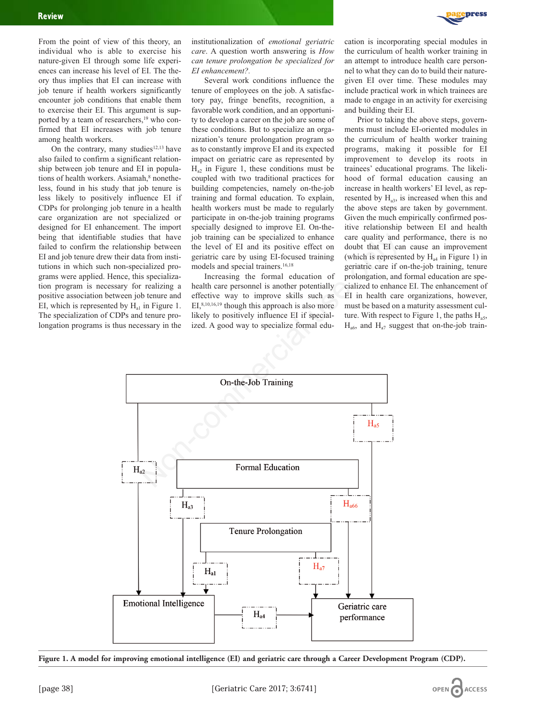

From the point of view of this theory, an individual who is able to exercise his nature-given EI through some life experiences can increase his level of EI. The theory thus implies that EI can increase with job tenure if health workers significantly encounter job conditions that enable them to exercise their EI. This argument is supported by a team of researchers,<sup>19</sup> who confirmed that EI increases with job tenure among health workers.

On the contrary, many studies<sup>12,13</sup> have also failed to confirm a significant relationship between job tenure and EI in populations of health workers. Asiamah,<sup>8</sup> nonetheless, found in his study that job tenure is less likely to positively influence EI if CDPs for prolonging job tenure in a health care organization are not specialized or designed for EI enhancement. The import being that identifiable studies that have failed to confirm the relationship between EI and job tenure drew their data from institutions in which such non-specialized programs were applied. Hence, this specialization program is necessary for realizing a positive association between job tenure and EI, which is represented by  $H<sub>a1</sub>$  in Figure 1. The specialization of CDPs and tenure prolongation programs is thus necessary in the

institutionalization of *emotional geriatric care*. A question worth answering is *How can tenure prolongation be specialized for EI enhancement?.*

Several work conditions influence the tenure of employees on the job. A satisfactory pay, fringe benefits, recognition, a favorable work condition, and an opportunity to develop a career on the job are some of these conditions. But to specialize an organization's tenure prolongation program so as to constantly improve EI and its expected impact on geriatric care as represented by  $H<sub>a2</sub>$  in Figure 1, these conditions must be coupled with two traditional practices for building competencies, namely on-the-job training and formal education. To explain, health workers must be made to regularly participate in on-the-job training programs specially designed to improve EI. On-thejob training can be specialized to enhance the level of EI and its positive effect on geriatric care by using EI-focused training models and special trainers.<sup>16,18</sup>

Increasing the formal education of health care personnel is another potentially effective way to improve skills such as EI,8,10,16,19 though this approach is also more likely to positively influence EI if specialized. A good way to specialize formal education is incorporating special modules in the curriculum of health worker training in an attempt to introduce health care personnel to what they can do to build their naturegiven EI over time. These modules may include practical work in which trainees are made to engage in an activity for exercising and building their EI.

Prior to taking the above steps, governments must include EI-oriented modules in the curriculum of health worker training programs, making it possible for EI improvement to develop its roots in trainees' educational programs. The likelihood of formal education causing an increase in health workers' EI level, as represented by  $H<sub>a3</sub>$ , is increased when this and the above steps are taken by government. Given the much empirically confirmed positive relationship between EI and health care quality and performance, there is no doubt that EI can cause an improvement (which is represented by  $H<sub>ad</sub>$  in Figure 1) in geriatric care if on-the-job training, tenure prolongation, and formal education are specialized to enhance EI. The enhancement of EI in health care organizations, however, must be based on a maturity assessment culture. With respect to Figure 1, the paths  $H_{a5}$ ,  $H_{a6}$ , and  $H_{a7}$  suggest that on-the-job train-



**Figure 1. A model for improving emotional intelligence (EI) and geriatric care through a Career Development Program (CDP).**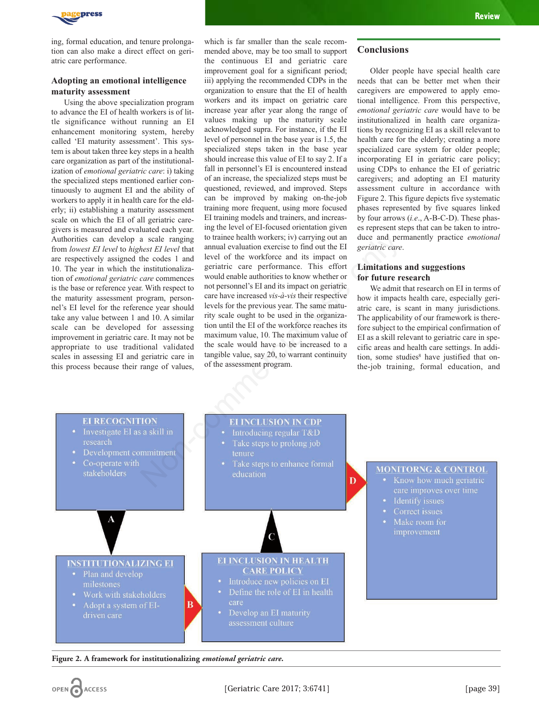

ing, formal education, and tenure prolongation can also make a direct effect on geriatric care performance.

## **Adopting an emotional intelligence maturity assessment**

Using the above specialization program to advance the EI of health workers is of little significance without running an EI enhancement monitoring system, hereby called 'EI maturity assessment'. This system is about taken three key steps in a health care organization as part of the institutionalization of *emotional geriatric care*: i) taking the specialized steps mentioned earlier continuously to augment EI and the ability of workers to apply it in health care for the elderly; ii) establishing a maturity assessment scale on which the EI of all geriatric caregivers is measured and evaluated each year. Authorities can develop a scale ranging from *lowest EI level* to *highest EI level* that are respectively assigned the codes 1 and 10. The year in which the institutionalization of *emotional geriatric care* commences is the base or reference year. With respect to the maturity assessment program, personnel's EI level for the reference year should take any value between 1 and 10. A similar scale can be developed for assessing improvement in geriatric care. It may not be appropriate to use traditional validated scales in assessing EI and geriatric care in this process because their range of values,

which is far smaller than the scale recommended above, may be too small to support the continuous EI and geriatric care improvement goal for a significant period; iii) applying the recommended CDPs in the organization to ensure that the EI of health workers and its impact on geriatric care increase year after year along the range of values making up the maturity scale acknowledged supra. For instance, if the EI level of personnel in the base year is 1.5, the specialized steps taken in the base year should increase this value of EI to say 2. If a fall in personnel's EI is encountered instead of an increase, the specialized steps must be questioned, reviewed, and improved. Steps can be improved by making on-the-job training more frequent, using more focused EI training models and trainers, and increasing the level of EI-focused orientation given to trainee health workers; iv) carrying out an annual evaluation exercise to find out the EI level of the workforce and its impact on geriatric care performance. This effort would enable authorities to know whether or not personnel's EI and its impact on geriatric care have increased *vis-à-vis* their respective levels for the previous year. The same maturity scale ought to be used in the organization until the EI of the workforce reaches its maximum value, 10. The maximum value of the scale would have to be increased to a tangible value, say 20, to warrant continuity of the assessment program.

#### **Conclusions**

Older people have special health care needs that can be better met when their caregivers are empowered to apply emotional intelligence. From this perspective, *emotional geriatric care* would have to be institutionalized in health care organizations by recognizing EI as a skill relevant to health care for the elderly; creating a more specialized care system for older people; incorporating EI in geriatric care policy; using CDPs to enhance the EI of geriatric caregivers; and adopting an EI maturity assessment culture in accordance with Figure 2. This figure depicts five systematic phases represented by five squares linked by four arrows (*i.e*., A-B-C-D). These phases represent steps that can be taken to introduce and permanently practice *emotional geriatric care*.

#### **Limitations and suggestions for future research**

We admit that research on EI in terms of how it impacts health care, especially geriatric care, is scant in many jurisdictions. The applicability of our framework is therefore subject to the empirical confirmation of EI as a skill relevant to geriatric care in specific areas and health care settings. In addition, some studies<sup>8</sup> have justified that onthe-job training, formal education, and



**Figure 2. A framework for institutionalizing** *emotional geriatric care***.**